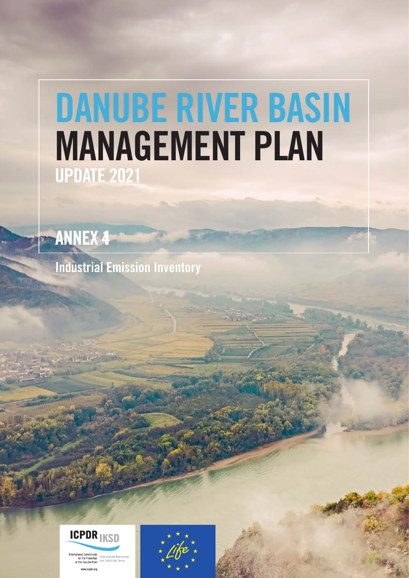# DANUBE RIVER BASIN MANAGEMENT PLAN UPDATE 2021



Industrial Emission Inventory



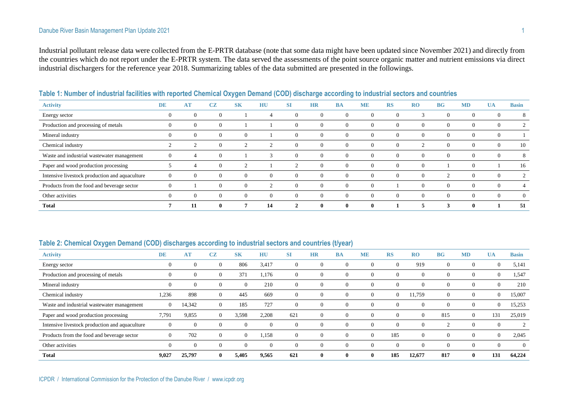#### Danube River Basin Management Plan Update 2021 1

Industrial pollutant release data were collected from the E-PRTR database (note that some data might have been updated since November 2021) and directly from the countries which do not report under the E-PRTR system. The data served the assessments of the point source organic matter and nutrient emissions via direct industrial dischargers for the reference year 2018. Summarizing tables of the data submitted are presented in the followings.

| <b>Activity</b>                                | DE           | AT       | CZ             | <b>SK</b> | HU       | SI             | <b>HR</b>    | <b>BA</b> | <b>ME</b> | <b>RS</b> | RO             | BG       | <b>MD</b>      | UA           | <b>Basin</b>   |
|------------------------------------------------|--------------|----------|----------------|-----------|----------|----------------|--------------|-----------|-----------|-----------|----------------|----------|----------------|--------------|----------------|
| Energy sector                                  | U            | $\Omega$ | $\overline{0}$ |           |          | $\Omega$       | $\theta$     | U         |           | $\theta$  |                | -0       | $\overline{0}$ | $\mathbf{0}$ | 8              |
| Production and processing of metals            | 0            | $\theta$ | $\theta$       |           |          | $\overline{0}$ | $\theta$     | U         |           | $\Omega$  | $\overline{0}$ | $\theta$ | $\overline{0}$ | $\mathbf{0}$ | 2              |
| Mineral industry                               | $\theta$     | $\Omega$ | $\Omega$       | $\Omega$  |          | $\Omega$       |              |           |           |           | $\Omega$       | 0        | $\overline{0}$ | $\mathbf{0}$ |                |
| Chemical industry                              |              |          | $\overline{0}$ |           |          | $\Omega$       | $\theta$     | $_{0}$    |           | $\Omega$  |                | $\Omega$ | $\overline{0}$ | $\mathbf{0}$ | 10             |
| Waste and industrial wastewater management     | $\Omega$     |          | $\Omega$       |           | $\sim$   | $\theta$       | $\theta$     |           |           | $\Omega$  | $\Omega$       | $\Omega$ | $\overline{0}$ | $\mathbf{0}$ | 8              |
| Paper and wood production processing           |              |          | $\overline{0}$ | $\sim$    |          | $\overline{ }$ | $\theta$     | $\Omega$  |           | $\Omega$  | $\Omega$       |          | $\overline{0}$ |              | 16             |
| Intensive livestock production and aquaculture | $\Omega$     | $\theta$ | $\Omega$       | $\Omega$  | $\Omega$ | $\Omega$       | $\Omega$     | $_{0}$    | $\Omega$  | $\Omega$  | $\Omega$       | 2        | $\overline{0}$ | $\mathbf{0}$ | $\overline{c}$ |
| Products from the food and beverage sector     | $\mathbf{O}$ |          | $\Omega$       | $\Omega$  |          | $\Omega$       |              |           |           |           | $\Omega$       | $\Omega$ | $\overline{0}$ | $\mathbf{0}$ |                |
| Other activities                               | $\theta$     | $\Omega$ | $\overline{0}$ | $\Omega$  | $\theta$ | $\Omega$       | $\theta$     | $\Omega$  | $\Omega$  | $\Omega$  | $\Omega$       | $\Omega$ | $\overline{0}$ | $\theta$     | $\Omega$       |
| <b>Total</b>                                   |              |          | $\mathbf{0}$   |           | 14       |                | $\mathbf{0}$ |           |           |           |                | 3        | $\mathbf{0}$   |              | 51             |

**Table 1: Number of industrial facilities with reported Chemical Oxygen Demand (COD) discharge according to industrial sectors and countries**

#### **Table 2: Chemical Oxygen Demand (COD) discharges according to industrial sectors and countries (t/year)**

| <b>Activity</b>                                | DE             | AT       | CZ           | <b>SK</b>      | HU       | <b>SI</b>      | <b>HR</b>    | <b>BA</b>    | <b>ME</b>    | <b>RS</b>    | <b>RO</b>      | BG             | <b>MD</b>      | <b>UA</b>      | <b>Basin</b> |
|------------------------------------------------|----------------|----------|--------------|----------------|----------|----------------|--------------|--------------|--------------|--------------|----------------|----------------|----------------|----------------|--------------|
| Energy sector                                  |                | $\Omega$ | $\theta$     | 806            | 3,417    | $\overline{0}$ | $\Omega$     |              | $\theta$     | $\Omega$     | 919            | $\overline{0}$ | $\overline{0}$ | $\theta$       | 5,141        |
| Production and processing of metals            |                | $\Omega$ | $\Omega$     | 371            | 1,176    | $\overline{0}$ | $\Omega$     |              | $\Omega$     |              | $\overline{0}$ | $\theta$       | $\overline{0}$ | $\overline{0}$ | 1,547        |
| Mineral industry                               |                | $\Omega$ | $\Omega$     | $\theta$       | 210      | $\Omega$       | $\Omega$     | $\Omega$     | $\Omega$     | $\left($     | $\Omega$       | $\theta$       | $\overline{0}$ | $\overline{0}$ | 210          |
| Chemical industry                              | 1,236          | 898      | $\Omega$     | 445            | 669      | $\Omega$       | $\Omega$     |              | $\theta$     | $\mathbf{0}$ | 1,759          | $\overline{0}$ | $\mathbf{0}$   | $\overline{0}$ | 15,007       |
| Waste and industrial wastewater management     | $\overline{0}$ | 14,342   | $\theta$     | 185            | 727      | $\overline{0}$ | $\theta$     |              | $\theta$     |              | $\overline{0}$ | $\theta$       | $\mathbf{0}$   | $\overline{0}$ | 15,253       |
| Paper and wood production processing           | 7,791          | 9,855    | $\Omega$     | 3,598          | 2,208    | 621            | $\Omega$     |              | $\Omega$     | $\Omega$     | $\overline{0}$ | 815            | $\overline{0}$ | 131            | 25,019       |
| Intensive livestock production and aquaculture |                | $\Omega$ |              |                | $\Omega$ | $\Omega$       | $\Omega$     |              | $\Omega$     |              | $\Omega$       | $\sim$         | $\theta$       | $\mathbf{0}$   |              |
| Products from the food and beverage sector     | $\Omega$       | 702      | $\Omega$     | $\overline{0}$ | 1,158    | $\Omega$       | $\Omega$     |              | $\Omega$     | 185          | $\overline{0}$ | $\theta$       | $\overline{0}$ | $\overline{0}$ | 2,045        |
| Other activities                               | $\theta$       | $\Omega$ | $\Omega$     | $\overline{0}$ | $\Omega$ | $\Omega$       | $\Omega$     | $\Omega$     | $\Omega$     | $\Omega$     | $\overline{0}$ | $\overline{0}$ | $\overline{0}$ | $\overline{0}$ | $\theta$     |
| <b>Total</b>                                   | 9,027          | 25,797   | $\mathbf{0}$ | 5,405          | 9,565    | 621            | $\mathbf{0}$ | $\mathbf{0}$ | $\mathbf{0}$ | 185          | 12,677         | 817            | $\mathbf{0}$   | 131            | 64,224       |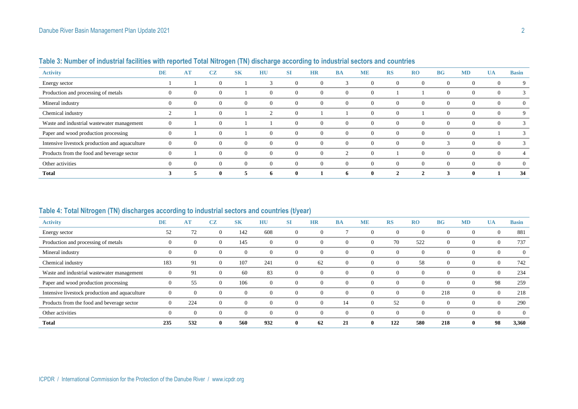| <b>Activity</b>                                | <b>DE</b>      | <b>AT</b>      | CZ             | S <sub>K</sub> | HU             | <b>SI</b> | <b>HR</b>      | <b>BA</b>      | <b>ME</b> | <b>RS</b> | R <sub>0</sub> | <b>BG</b> | <b>MD</b>      | <b>UA</b>      | <b>Basin</b>   |
|------------------------------------------------|----------------|----------------|----------------|----------------|----------------|-----------|----------------|----------------|-----------|-----------|----------------|-----------|----------------|----------------|----------------|
| Energy sector                                  |                |                | $\Omega$       |                |                | $\Omega$  | $\theta$       |                | O         | $\Omega$  | $\overline{0}$ | $\theta$  | $\overline{0}$ | $\mathbf{0}$   | 9              |
| Production and processing of metals            | O              | $\overline{0}$ | $\mathbf{0}$   |                | $\Omega$       | 0         | 0              | $\overline{0}$ | O         |           |                | $\theta$  | $\theta$       | $\overline{0}$ | 3              |
| Mineral industry                               | $\overline{0}$ | $\Omega$       | $\overline{0}$ | $\Omega$       | $\theta$       | $\theta$  | $\overline{0}$ | $\overline{0}$ | $\Omega$  | $\Omega$  | $\theta$       | $\theta$  | $\theta$       | $\overline{0}$ | $\overline{0}$ |
| Chemical industry                              |                |                | $\Omega$       |                | $\overline{2}$ |           |                |                |           |           |                | $\Omega$  | $\theta$       | $\overline{0}$ | 9              |
| Waste and industrial wastewater management     | 0              |                | $\Omega$       |                |                | $\Omega$  | $\overline{0}$ | $\overline{0}$ | $\theta$  | $\Omega$  | $\theta$       | $\theta$  | $\theta$       | $\overline{0}$ | 3              |
| Paper and wood production processing           |                |                | $\theta$       |                | $\theta$       | $\Omega$  | $\overline{0}$ | $\Omega$       | $\Omega$  | $\Omega$  | $\Omega$       | $\theta$  | $\theta$       |                | 3              |
| Intensive livestock production and aquaculture | $\mathbf{U}$   |                | $\Omega$       | $\Omega$       | $\theta$       | $\Omega$  | $\Omega$       | $\overline{0}$ | $\theta$  | $\Omega$  | $\Omega$       | 3         | $\overline{0}$ | $\overline{0}$ | 3              |
| Products from the food and beverage sector     | 0              |                | $\mathbf{0}$   | $\Omega$       | $\theta$       | $\Omega$  | $\overline{0}$ |                | $\theta$  |           | $\Omega$       | $\theta$  | $\theta$       | $\overline{0}$ | 4              |
| Other activities                               | $\overline{0}$ | $\Omega$       | $\overline{0}$ | $\Omega$       | $\theta$       | $\Omega$  | $\overline{0}$ | $\overline{0}$ | $\Omega$  | $\Omega$  | $\Omega$       | $\theta$  | $\theta$       | $\overline{0}$ | $\overline{0}$ |
| <b>Total</b>                                   | Ĵ              |                | $\mathbf{0}$   |                | $\mathbf{v}$   |           |                | 6              | v         |           | $\overline{2}$ | 3         | $\bf{0}$       |                | 34             |

## **Table 3: Number of industrial facilities with reported Total Nitrogen (TN) discharge according to industrial sectors and countries**

## **Table 4: Total Nitrogen (TN) discharges according to industrial sectors and countries (t/year)**

| <b>Activity</b>                                | <b>DE</b>      | AT             | CZ       | <b>SK</b>      | HU       | SI             | <b>HR</b> | <b>BA</b>      | <b>ME</b>      | RS       | RO             | <b>BG</b>      | <b>MD</b>        | UA             | <b>Basin</b>   |
|------------------------------------------------|----------------|----------------|----------|----------------|----------|----------------|-----------|----------------|----------------|----------|----------------|----------------|------------------|----------------|----------------|
| Energy sector                                  | 52             | 72             | $\theta$ | 142            | 608      | $\overline{0}$ | $\theta$  |                | $\overline{0}$ | $\Omega$ | $\overline{0}$ | $\theta$       | $\theta$         | $\overline{0}$ | 881            |
| Production and processing of metals            | 0              | $\overline{0}$ | $\Omega$ | 145            | $\theta$ | $\overline{0}$ | $\Omega$  | $\Omega$       | $\overline{0}$ | 70       | 522            | $\overline{0}$ | $\theta$         | $\overline{0}$ | 737            |
| Mineral industry                               | $\theta$       | $\Omega$       |          | 0              | $\Omega$ | $\Omega$       | $\Omega$  | $\Omega$       | $\Omega$       |          | $\mathbf{0}$   | $\Omega$       | $\theta$         | $\theta$       | $\Omega$       |
| Chemical industry                              | 183            | 91             |          | 107            | 241      | $\theta$       | 62        | $\overline{0}$ | $\Omega$       | $\Omega$ | 58             | $\theta$       | $\boldsymbol{0}$ | $\theta$       | 742            |
| Waste and industrial wastewater management     | $\Omega$       | 91             |          | 60             | 83       | $\overline{0}$ | $\theta$  | $\Omega$       | $\Omega$       | $\Omega$ | $\overline{0}$ | $\Omega$       | $\theta$         | $\theta$       | 234            |
| Paper and wood production processing           | $\theta$       | 55             |          | 106            | $\Omega$ | $\overline{0}$ | $\theta$  | $\Omega$       | $\Omega$       |          | U              | $\Omega$       | $\theta$         | 98             | 259            |
| Intensive livestock production and aquaculture | $\mathbf{0}$   | $\Omega$       |          | 0              | $\Omega$ | $\theta$       | $\Omega$  | $\Omega$       | $\Omega$       |          | $\overline{0}$ | 218            | $\overline{0}$   | $\overline{0}$ | 218            |
| Products from the food and beverage sector     | $\Omega$       | 224            | $\Omega$ | $\overline{0}$ | $\Omega$ | $\theta$       | $\Omega$  | 14             | $\Omega$       | 52       | $\overline{0}$ | $\Omega$       | $\theta$         | $\overline{0}$ | 290            |
| Other activities                               | $\overline{0}$ | $\overline{0}$ |          | U              | $\Omega$ | $\overline{0}$ | $\theta$  | $\overline{0}$ | $\overline{0}$ |          | $\mathbf{0}$   | $\theta$       | $\theta$         | $\overline{0}$ | $\overline{0}$ |
| <b>Total</b>                                   | 235            | 532            | -0       | 560            | 932      | $\mathbf{0}$   | 62        | 21             | $\bf{0}$       | 122      | 580            | 218            | $\mathbf{0}$     | 98             | 3,360          |